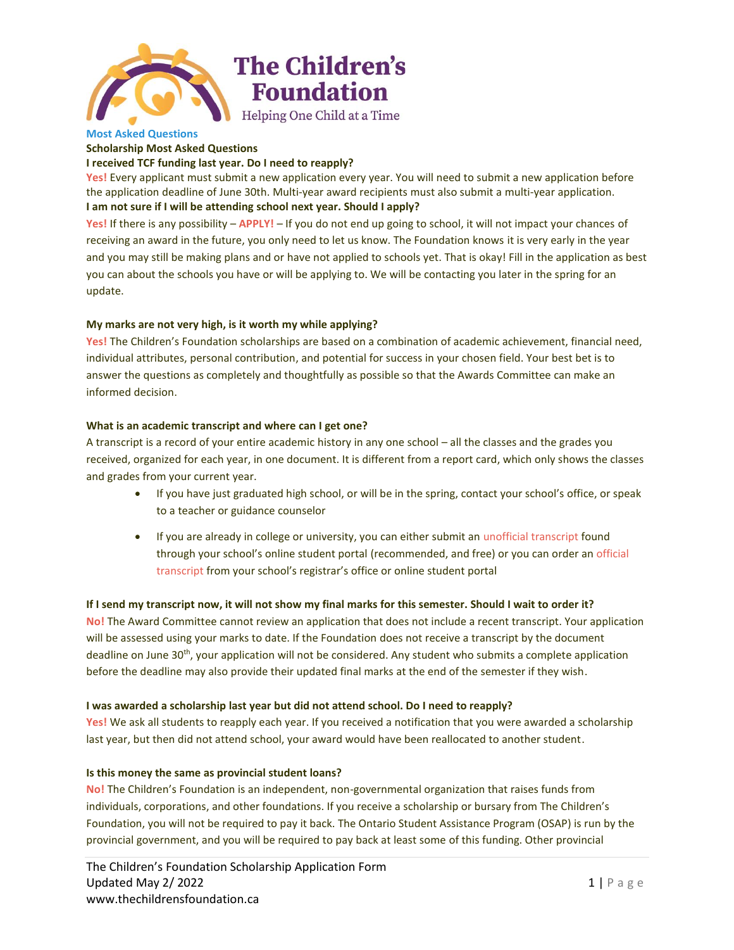

#### **Most Asked Questions Scholarship Most Asked Questions**

# **I received TCF funding last year. Do I need to reapply?**

**Yes!** Every applicant must submit a new application every year. You will need to submit a new application before the application deadline of June 30th. Multi-year award recipients must also submit a multi-year application. **I am not sure if I will be attending school next year. Should I apply?**

**Yes!** If there is any possibility – **APPLY!** – If you do not end up going to school, it will not impact your chances of receiving an award in the future, you only need to let us know. The Foundation knows it is very early in the year and you may still be making plans and or have not applied to schools yet. That is okay! Fill in the application as best you can about the schools you have or will be applying to. We will be contacting you later in the spring for an update.

## **My marks are not very high, is it worth my while applying?**

**Yes!** The Children's Foundation scholarships are based on a combination of academic achievement, financial need, individual attributes, personal contribution, and potential for success in your chosen field. Your best bet is to answer the questions as completely and thoughtfully as possible so that the Awards Committee can make an informed decision.

## **What is an academic transcript and where can I get one?**

A transcript is a record of your entire academic history in any one school – all the classes and the grades you received, organized for each year, in one document. It is different from a report card, which only shows the classes and grades from your current year.

- If you have just graduated high school, or will be in the spring, contact your school's office, or speak to a teacher or guidance counselor
- If you are already in college or university, you can either submit an unofficial transcript found through your school's online student portal (recommended, and free) or you can order an official transcript from your school's registrar's office or online student portal

## If I send my transcript now, it will not show my final marks for this semester. Should I wait to order it?

**No!** The Award Committee cannot review an application that does not include a recent transcript. Your application will be assessed using your marks to date. If the Foundation does not receive a transcript by the document deadline on June 30th, your application will not be considered. Any student who submits a complete application before the deadline may also provide their updated final marks at the end of the semester if they wish.

## **I was awarded a scholarship last year but did not attend school. Do I need to reapply?**

**Yes!** We ask all students to reapply each year. If you received a notification that you were awarded a scholarship last year, but then did not attend school, your award would have been reallocated to another student.

## **Is this money the same as provincial student loans?**

**No!** The Children's Foundation is an independent, non-governmental organization that raises funds from individuals, corporations, and other foundations. If you receive a scholarship or bursary from The Children's Foundation, you will not be required to pay it back. The Ontario Student Assistance Program (OSAP) is run by the provincial government, and you will be required to pay back at least some of this funding. Other provincial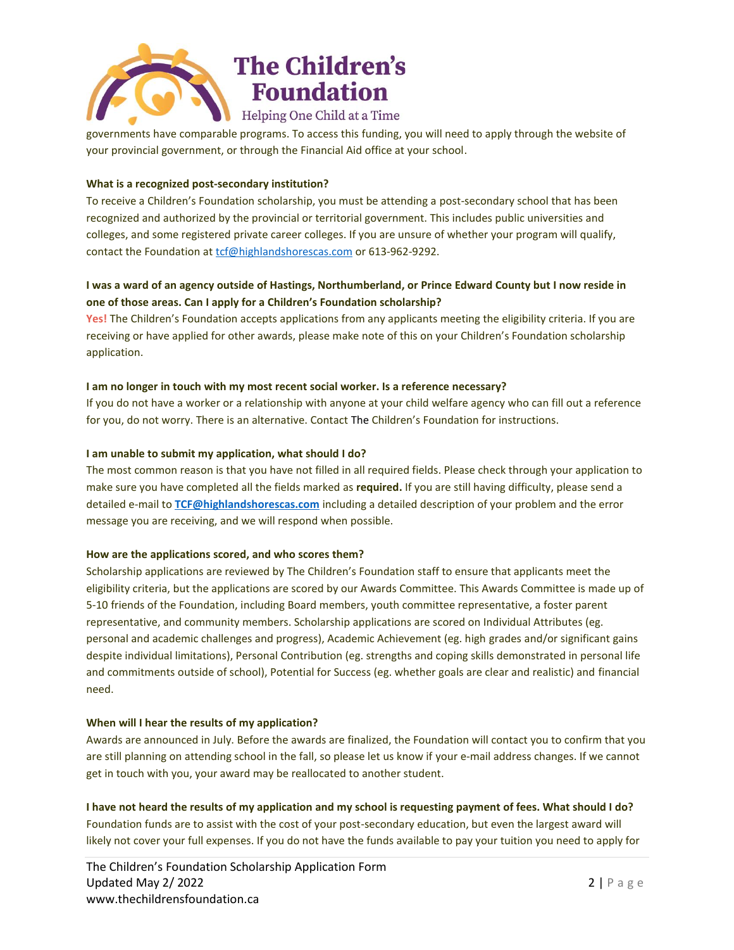

governments have comparable programs. To access this funding, you will need to apply through the website of your provincial government, or through the Financial Aid office at your school.

## **What is a recognized post-secondary institution?**

To receive a Children's Foundation scholarship, you must be attending a post-secondary school that has been recognized and authorized by the provincial or territorial government. This includes public universities and colleges, and some registered private career colleges. If you are unsure of whether your program will qualify, contact the Foundation at [tcf@highlandshorescas.com](mailto:tcf@highlandshorescas.com) or 613-962-9292.

# I was a ward of an agency outside of Hastings, Northumberland, or Prince Edward County but I now reside in **one of those areas. Can I apply for a Children's Foundation scholarship?**

**Yes!** The Children's Foundation accepts applications from any applicants meeting the eligibility criteria. If you are receiving or have applied for other awards, please make note of this on your Children's Foundation scholarship application.

## **I am no longer in touch with my most recent social worker. Is a reference necessary?**

If you do not have a worker or a relationship with anyone at your child welfare agency who can fill out a reference for you, do not worry. There is an alternative. Contact The Children's Foundation for instructions.

## **I am unable to submit my application, what should I do?**

The most common reason is that you have not filled in all required fields. Please check through your application to make sure you have completed all the fields marked as **required.** If you are still having difficulty, please send a detailed e-mail to **[TCF@highlandshorescas.com](mailto:TCF@highlandshorescas.com)** including a detailed description of your problem and the error message you are receiving, and we will respond when possible.

### **How are the applications scored, and who scores them?**

Scholarship applications are reviewed by The Children's Foundation staff to ensure that applicants meet the eligibility criteria, but the applications are scored by our Awards Committee. This Awards Committee is made up of 5-10 friends of the Foundation, including Board members, youth committee representative, a foster parent representative, and community members. Scholarship applications are scored on Individual Attributes (eg. personal and academic challenges and progress), Academic Achievement (eg. high grades and/or significant gains despite individual limitations), Personal Contribution (eg. strengths and coping skills demonstrated in personal life and commitments outside of school), Potential for Success (eg. whether goals are clear and realistic) and financial need.

## **When will I hear the results of my application?**

Awards are announced in July. Before the awards are finalized, the Foundation will contact you to confirm that you are still planning on attending school in the fall, so please let us know if your e-mail address changes. If we cannot get in touch with you, your award may be reallocated to another student.

I have not heard the results of my application and my school is requesting payment of fees. What should I do? Foundation funds are to assist with the cost of your post-secondary education, but even the largest award will likely not cover your full expenses. If you do not have the funds available to pay your tuition you need to apply for